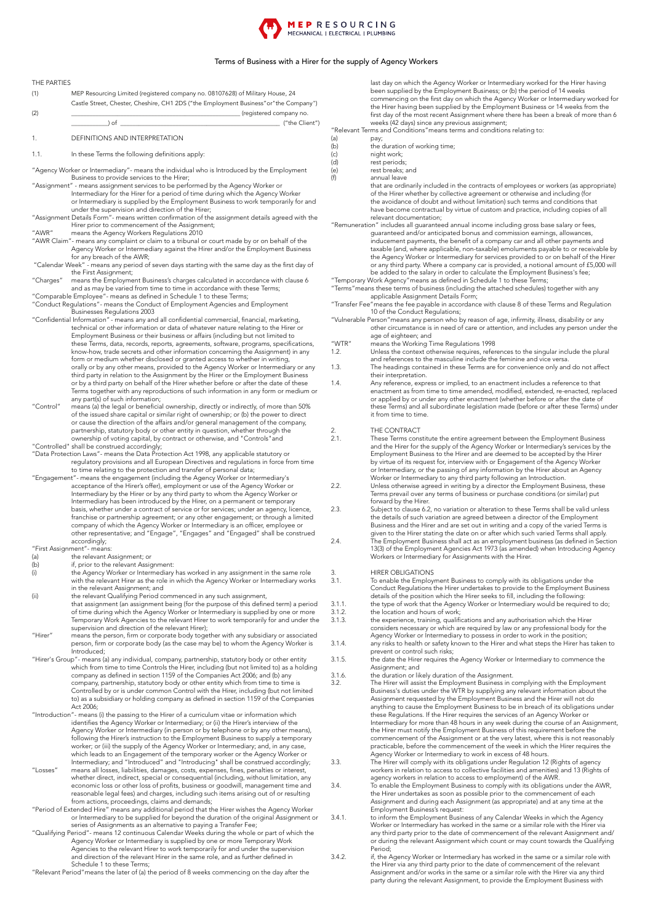### **MEPRESOURCING** MECHANICAL | ELECTRICAL | PLUMBING

### Terms of Business with a Hirer for the supply of Agency Workers

THE PARTIES (1) MEP Resourcing Limited (registered company no. 08107628) of Military House, 24 Castle Street, Chester, Cheshire, CH1 2DS ("the Employment Business"or"the Company") (2) \_\_\_\_\_\_\_\_\_\_\_\_\_\_\_\_\_\_\_\_\_\_\_\_\_\_\_\_\_\_\_\_\_\_\_\_\_\_\_\_\_\_\_\_\_\_\_\_\_\_\_\_\_\_\_ (registered company no. \_\_\_\_\_\_\_\_\_\_\_\_) of \_\_\_\_\_\_\_\_\_\_\_\_\_\_\_\_\_\_\_\_\_\_\_\_\_\_\_\_\_\_\_\_\_\_\_\_\_\_\_\_\_\_\_\_\_\_\_\_\_\_\_\_ ("the Client") 1. DEFINITIONS AND INTERPRETATION 1.1. In these Terms the following definitions apply: "Agency Worker or Intermediary"- means the individual who is Introduced by the Employment Business to provide services to the Hirer; "Assignment" - means assignment services to be performed by the Agency Worker or Intermediary for the Hirer for a period of time during which the Agency Worker or Intermediary is supplied by the Employment Business to work temporarily for and<br>under the supervision and direction of the Hirer;<br>"Assignment Details Form"- means written confirmation of the assignment details agreed wi "AWR" means the Agency Workers Regulations 2010 "AWR Claim"- means any complaint or claim to a tribunal or court made by or on behalf of the Agency Worker or Intermediary against the Hirer and/or the Employment Business for any breach of the AWR; "Calendar Week" - means any period of seven days starting with the same day as the first day of the First Assignment;<br>Charges" wmeans the Employment Business's charges calculated in accordance with clause 6" and as may be varied from time to time in accordance with these Terms; "Comparable Employee"- means as defined in Schedule 1 to these Terms; "Conduct Regulations"- means the Conduct of Employment Agencies and Employment Businesses Regulations 2003<br>Confidential Information" - means any and all confidential commercial, financial, marketing," technical or other information or data of whatever nature relating to the Hirer or Employment Business or their business or affairs (including but not limited to these Terms, data, records, reports, agreements, software, programs, specifications, know-how, trade secrets and other information concerning the Assignment) in any<br>form or medium whether disclosed or granted access to whether in writing,<br>orally or by any other means, provided to the Agency Worker or Inter or by a third party on behalf of the Hirer whether before or after the date of these Terms together with any reproductions of such information in any form or medium or any part(s) of such information; "Control" means (a) the legal or beneficial ownership, directly or indirectly, of more than 50%"<br>of the issued share capital or similar right of ownership; or (b) the power to direct<br>or cause the direction of the affairs a partnership, statutory body or other entity in question, whether through the ownership of voting capital, by contract or otherwise, and "Controls"and"<br>"Controlled" shall be construed accordingly;<br>"Data Protection Laws"- means the Data Protection Act 1998, any applicable statutory or regulatory provisions and all European Directives and regulations in force from time to time relating to the protection and transfer of personal data; "Engagement"- means the engagement (including the Agency Worker or Intermediary's acceptance of the Hirer's offer), employment or use of the Agency Worker or<br>Intermediary by the Hirer or by any third party to whom the Agency Worker or<br>Intermediary has been introduced by the Hirer, on a permanent or temp basis, whether under a contract of service or for services; under an agency, licence, franchise or partnership agreement; or any other engagement; or through a limited company of which the Agency Worker or Intermediary is an officer, employee or<br>other representative; and "Engage", "Engages" and "Engaged" shall be construed accordingly; "First Assignment"- means: (a) the relevant Assignment; or<br>
(b) if, prior to the relevant Assign (b) if, prior to the relevant Assignment: (i) the Agency Worker or Intermediary has worked in any assignment in the same role with the relevant Hirer as the role in which the Agency Worker or Intermediary works in the relevant Assignment; and (ii) the relevant Qualifying Period commenced in any such assignment, that assignment (an assignment being (for the purpose of this defined term) a period of time during which the Agency Worker or Intermediary is supplied by one or more Temporary Work Agencies to the relevant Hirer to work temporarily for and under the supervision and direction of the relevant Hirer); "Hirer" means the person, firm or corporate body together with any subsidiary or associated person, firm or corporate body (as the case may be) to whom the Agency Worker is Introduced; "Hirer's Group"- means (a) any individual, company, partnership, statutory body or other entity which from time to time Controls the Hirer, including (but not limited to) as a holding company as defined in section 1159 of Controlled by or is under common Control with the Hirer, including (but not limited to) as a subsidiary or holding company as defined in section 1159 of the Companies Act 2006; "Introduction"- means (i) the passing to the Hirer of a curriculum vitae or information which identifies the Agency Worker or Intermediary; or (ii) the Hirer's interview of the Agency Worker or Intermediary (in person or by telephone or by any other means), following the Hirer's instruction to the Employment Business to supply a temporary worker; or (iii) the supply of the Agency Worker or Intermediary; and, in any case, which leads to an Engagement of the temporary worker or the Agency Worker or Intermediary; and "Introduced" and "Introducing" shall be construed accordingly;<br>"Losses" means all losses, liabilities, damages, costs, expenses, fines, penalties or interest,<br>whether direct, indirect, special or conseque from actions, proceedings, claims and demands;<br>Period of Extended Hire" means any additional period that the Hirer wishes the Agency Worker" or Intermediary to be supplied for beyond the duration of the original Assignment or<br>series of Assignments as an alternative to paying a Transfer Fee;<br>"Qualifying Period"- means 12 continuous Calendar Weeks during the whol

and direction of the relevant Hirer in the same role, and as further defined in Schedule 1 to these Terms;

"Relevant Period"means the later of (a) the period of 8 weeks commencing on the day after the

last day on which the Agency Worker or Intermediary worked for the Hirer having been supplied by the Employment Business; or (b) the period of 14 weeks commencing on the first day on which the Agency Worker or Intermediary worked for the Hirer having been supplied by the Employment Business or 14 weeks from the first day of the most recent Assignment where there has been a break of more than 6 weeks (42 days) since any previous assignment;

- "Relevant Terms and Conditions"means terms and conditions relating to:
- (a) pay;<br>(b) the o<br>(c) nigh
- the duration of working time;
- (c)<br>(c) night work;<br>(d) rest period: rest periods;
	-
- (e) rest breaks; and<br>(f) annual leave annual leave
	- that are ordinarily included in the contracts of employees or workers (as appropriate) of the Hirer whether by collective agreement or otherwise and including (for the avoidance of doubt and without limitation) such terms and conditions that have become contractual by virtue of custom and practice, including copies of all relevant documentation;
- "Remuneration" includes all guaranteed annual income including gross base salary or fees, guaranteed and/or anticipated bonus and commission earnings, allowances, inducement payments, the benefit of a company car and all other payments and taxable (and, where applicable, non-taxable) emoluments payable to or receivable by the Agency Worker or Intermediary for services provided to or on behalf of the Hirer or any third party. Where a company car is provided, a notional amount of £5,000 will
- be added to the salary in order to calculate the Employment Business's fee; "Temporary Work Agency" means as defined in Schedule 1 to these Terms;
- "Terms"means these terms of business (including the attached schedules) together with any applicable Assignment Details Form;
- "Transfer Fee"means the fee payable in accordance with clause 8 of these Terms and Regulation
- 10 of the Conduct Regulations; "Vulnerable Person"means any person who by reason of age, infirmity, illness, disability or any other circumstance is in need of care or attention, and includes any person under the age of eighteen; and
- "WTR" means the Working Time Regulations 1998
- 1.2. Unless the context otherwise requires, references to the singular include the plural and references to the masculine include the feminine and vice versa.
- 1.3. The headings contained in these Terms are for convenience only and do not affect their interpretation.
- 1.4. Any reference, express or implied, to an enactment includes a reference to that enactment as from time to time amended, modified, extended, re-enacted, replaced or applied by or under any other enactment (whether before or after the date of<br>these Terms) and all subordinate legislation made (before or after these Terms) under it from time to time.

# 2. THE CONTRACT<br>2.1. These Terms con

These Terms constitute the entire agreement between the Employment Business and the Hirer for the supply of the Agency Worker or Intermediary's services by the Employment Business to the Hirer and are deemed to be accepted by the Hirer by virtue of its request for, interview with or Engagement of the Agency Worker or Intermediary, or the passing of any information by the Hirer about an Agency Worker or Intermediary to any third party following an Introduction.

- 2.2. Unless otherwise agreed in writing by a director the Employment Business, these Terms prevail over any terms of business or purchase conditions (or similar) put forward by the Hirer.
- 2.3. Subject to clause 6.2, no variation or alteration to these Terms shall be valid unless the details of such variation are agreed between a director of the Employment Business and the Hirer and are set out in writing and a copy of the varied Terms is given to the Hirer stating the date on or after which such varied Terms shall apply.
- 2.4. The Employment Business shall act as an employment business (as defined in Section 13(3) of the Employment Agencies Act 1973 (as amended) when Introducing Agency Workers or Intermediary for Assignments with the Hirer.

- 3. HIRER OBLIGATIONS<br>3.1. To enable the Employ 3.1. To enable the Employment Business to comply with its obligations under the<br>Conduct Regulations the Hirer undertakes to provide to the Employment Business<br>details of the position which the Hirer seeks to fill, includin
- 3.1.1. the type of work that the Agency Worker or Intermediary would be required to do;
- 3.1.2. the location and hours of work;<br>3.1.3. the experience, training, qualifi-3.1.3. the experience, training, qualifications and any authorisation which the Hirer considers necessary or which are required by law or any professional body for the
- Agency Worker or Intermediary to possess in order to work in the position;<br>3.1.4. any risks to health or safety known to the Hirer and what steps the Hirer has taken to
- prevent or control such risks; 3.1.5. the date the Hirer requires the Agency Worker or Intermediary to commence the Assignment; and
- 3.1.6. The duration or likely duration of the Assignment.<br>3.2. The Hirer will assist the Employment Business in c
	- and direction of mery direction of the redignment.<br>The Hirer will assist the Employment Business in complying with the Employment Business's duties under the WTR by supplying any relevant information about the Assignment requested by the Employment Business and the Hirer will not do anything to cause the Employment Business to be in breach of its obligations under these Regulations. If the Hirer requires the services of an Agency Worker or Intermediary for more than 48 hours in any week during the course of an Assignment, the Hirer must notify the Employment Business of this requirement before the commencement of the Assignment or at the very latest, where this is not reasonably practicable, before the commencement of the week in which the Hirer requires the Agency Worker or Intermediary to work in excess of 48 hours.
- 3.3. The Hirer will comply with its obligations under Regulation 12 (Rights of agency workers in relation to access to collective facilities and amenities) and 13 (Rights of agency workers in relation to access to employment) of the AWR.
- 3.4. To enable the Employment Business to comply with its obligations under the AWR, the Hirer undertakes as soon as possible prior to the commencement of each Assignment and during each Assignment (as appropriate) and at any time at the Employment Business's request:
- 3.4.1. to inform the Employment Business of any Calendar Weeks in which the Agency Worker or Intermediary has worked in the same or a similar role with the Hirer via any third party prior to the date of commencement of the relevant Assignment and/ or during the relevant Assignment which count or may count towards the Qualifying Period; 3.4.2. if, the Agency Worker or Intermediary has worked in the same or a similar role with
	- the Hirer via any third party prior to the date of commencement of the relevant Assignment and/or works in the same or a similar role with the Hirer via any third party during the relevant Assignment, to provide the Employment Business with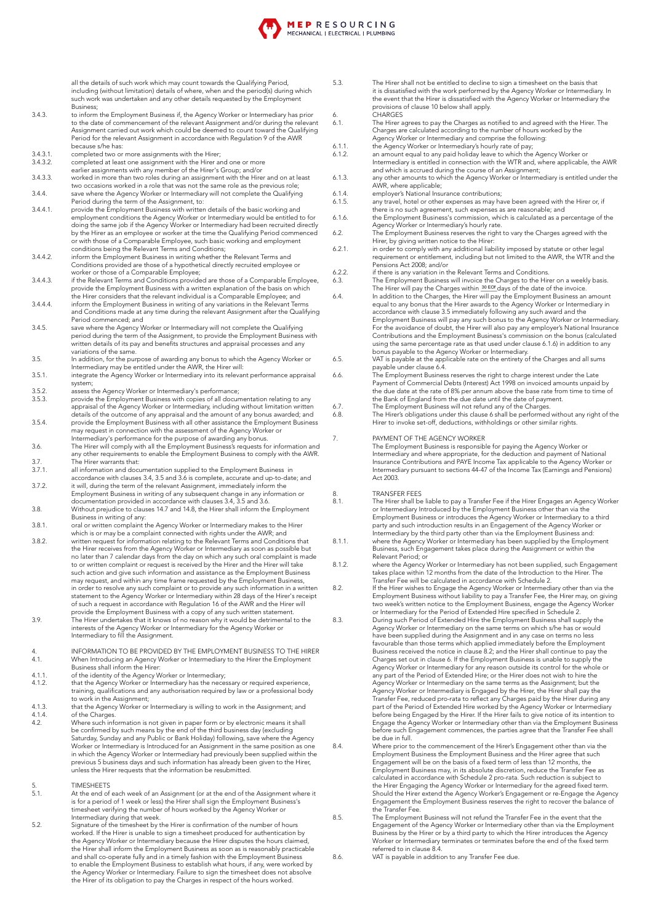all the details of such work which may count towards the Qualifying Period, including (without limitation) details of where, when and the period(s) during which such work was undertaken and any other details requested by the Employment Business;

- 3.4.3. to inform the Employment Business if, the Agency Worker or Intermediary has prior to the date of commencement of the relevant Assignment and/or during the relevant Assignment carried out work which could be deemed to count toward the Qualifying Period for the relevant Assignment in accordance with Regulation 9 of the AWR because s/he has:
- 3.4.3.1. Completed two or more assignments with the Hirer;<br>3.4.3.2. completed at least one assignment with the Hirer are
- 
- 3.4.3.2. completed at least one assignment with the Hirer and one or more earlier assignments with any member of the Hirer's Group; and/or 3.4.3.3. worked in more than two roles during an assignment with the Hirer and on at least two occasions worked in a role that was not the same role as the previous role;
- 3.4.4. save where the Agency Worker or Intermediary will not complete the Qualifying Period during the term of the Assignment, to: 3.4.4.1. provide the Employment Business with written details of the basic working and
- employment conditions the Agency Worker or Intermediary would be entitled to for doing the same job if the Agency Worker or Intermediary had been recruited directly by the Hirer as an employee or worker at the time the Qualifying Period commenced or with those of a Comparable Employee, such basic working and employment conditions being the Relevant Terms and Conditions;
- 3.4.4.2. inform the Employment Business in writing whether the Relevant Terms and Conditions provided are those of a hypothetical directly recruited employee or
- worker or those of a Comparable Employee; 3.4.4.3. if the Relevant Terms and Conditions provided are those of a Comparable Employee, provide the Employment Business with a written explanation of the basis on which the Hirer considers that the relevant individual is a Comparable Employee; and 3.4.4.4. inform the Employment Business in writing of any variations in the Relevant Terms
- and Conditions made at any time during the relevant Assignment after the Qualifying Period commenced; and
- 3.4.5. save where the Agency Worker or Intermediary will not complete the Qualifying period during the term of the Assignment, to provide the Employment Business with written details of its pay and benefits structures and appraisal processes and any variations of the same.

- 1.5. In addition, for the purpose of awarding any bonus to which the Agency Worker or<br>Intermediary may be entitled under the AWR, the Hirer will:<br>1.5.1. integrate the Agency Worker or Intermediary into its relevant perform system;
- Example 2.5.2.<br>
3.5.2. assess the Agency Worker or Intermediary's performance;<br>
3.5.3. archivide the Employment Business with copies of all docum
- 3.5.3. provide the Employment Business with copies of all documentation relating to any appraisal of the Agency Worker or Intermediary, including without limitation written details of the outcome of any appraisal and the amount of any bonus awarded; and 3.5.4. provide the Employment Business with all other assistance the Employment Business
- may request in connection with the assessment of the Agency Worker or
- Intermediary's performance for the purpose of awarding any bonus. 3.6. The Hirer will comply with all the Employment Business's requests for information and any other requirements to enable the Employment Business to comply with the AWR. 3.7. The Hirer warrants that:<br>3.7.1. all information and doc
- 3.7.1. all information and documentation supplied to the Employment Business in accordance with clauses 3.4, 3.5 and 3.6 is complete, accurate and up-to-date; and
- 3.7.2. it will, during the term of the relevant Assignment, immediately inform the Employment Business in writing of any subsequent change in any information or<br>documentation provided in accordance with clauses 3.4, 3.5 and 3.6.
- 3.8. Without prejudice to clauses 14.7 and 14.8, the Hirer shall inform the Employment Business in writing of any:
- 3.8.1. oral or written complaint the Agency Worker or Intermediary makes to the Hirer which is or may be a complaint connected with rights under the AWR; and
- 3.8.2. written request for information relating to the Relevant Terms and Conditions that the Hirer receives from the Agency Worker or Intermediary as soon as possible but no later than 7 calendar days from the day on which any such oral complaint is made to or written complaint or request is received by the Hirer and the Hirer will take such action and give such information and assistance as the Employment Business may request, and within any time frame requested by the Employment Business, in order to resolve any such complaint or to provide any such information in a written<br>statement to the Agency Worker or Intermediary within 28 days of the Hirer's receipt<br>of such a request in accordance with Regulation 16
- provide the Employment Business with a copy of any such written statement.<br>The Hirer undertakes that it knows of no reason why it would be detrimental to the<br>interests of the Agency Worker or Intermediary for the Agency Wo
- 4. INFORMATION TO BE PROVIDED BY THE EMPLOYMENT BUSINESS TO THE HIRER<br>4.1. When Introducing an Agency Worker or Intermediary to the Hirer the Employment 4.1. When Introducing an Agency Worker or Intermediary to the Hirer the Employment Business shall inform the Hirer:
- 
- 4.1.1. of the identity of the Agency Worker or Intermediary; 4.1.2. that the Agency Worker or Intermediary has the necessary or required experience, training, qualifications and any authorisation required by law or a professional body to work in the Assignment;
- 4.1.3. that the Agency Worker or Intermediary is willing to work in the Assignment; and 4.1.4. of the Charges.
- 4.2. Where such information is not given in paper form or by electronic means it shall be confirmed by such means by the end of the third business day (excluding Saturday, Sunday and any Public or Bank Holiday) following, save where the Agency Worker or Intermediary is Introduced for an Assignment in the same position as one in which the Agency Worker or Intermediary had previously been supplied within the previous 5 business days and such information has already been given to the Hirer, unless the Hirer requests that the information be resubmitted.
- 5. TIMESHEETS
- At the end of each week of an Assignment (or at the end of the Assignment where it is for a period of 1 week or less) the Hirer shall sign the Employment Business's timesheet verifying the number of hours worked by the Agency Worker or
- Intermediary during that week. 5.2. Signature of the timesheet by the Hirer is confirmation of the number of hours worked. If the Hirer is unable to sign a timesheet produced for authentication by<br>the Agency Worker or Intermediary because the Hirer disputes the hours claimed,<br>the Hirer shall inform the Employment Business as soon as is and shall co-operate fully and in a timely fashion with the Employment Business to enable the Employment Business to establish what hours, if any, were worked by the Agency Worker or Intermediary. Failure to sign the timesheet does not absolve the Hirer of its obligation to pay the Charges in respect of the hours worked.
- 5.3. The Hirer shall not be entitled to decline to sign a timesheet on the basis that it is dissatisfied with the work performed by the Agency Worker or Intermediary. In the event that the Hirer is dissatisfied with the Agency Worker or Intermediary the provisions of clause 10 below shall apply. 6. CHARGES
- 6.1. The Hirer agrees to pay the Charges as notified to and agreed with the Hirer. The Charges are calculated according to the number of hours worked by the Agency Worker or Intermediary and comprise the following:
- 
- 6.1.1. the Agency Worker or Intermediary's hourly rate of pay; 6.1.2. an amount equal to any paid holiday leave to which the Agency Worker or Intermediary is entitled in connection with the WTR and, where applicable, the AWR and which is accrued during the course of an Assignment;
- 6.1.3. any other amounts to which the Agency Worker or Intermediary is entitled under the AWR, where applicable;
- 6.1.4. employer's National Insurance contributions;<br>6.1.5. any travel, hotel or other expenses as may ha
- 6.1.5. any travel, hotel or other expenses as may have been agreed with the Hirer or, if there is no such agreement, such expenses as are reasonable; and
- 6.1.6. the Employment Business's commission, which is calculated as a percentage of the Agency Worker or Intermediary's hourly rate.
- 6.2. The Employment Business reserves the right to vary the Charges agreed with the Hirer, by giving written notice to the Hirer:
- 6.2.1. in order to comply with any additional liability imposed by statute or other legal requirement or entitlement, including but not limited to the AWR, the WTR and the Pensions Act 2008; and/or
	-
- 6.2.2. if there is any variation in the Relevant Terms and Conditions.<br>6.3. The Employment Business will invoice the Charges to the Hirer on a weekly basis.<br>The Hirer will pay the Charges within  $\frac{30 \text{ EOJ}}{2}$  days of t
	- equal to any bonus that the Hirer awards to the Agency Worker or Intermediary in accordance with clause 3.5 immediately following any such award and the Employment Business will pay any such bonus to the Agency Worker or Intermediary. For the avoidance of doubt, the Hirer will also pay any employer's National Insurance Contributions and the Employment Business's commission on the bonus (calculated using the same percentage rate as that used under clause 6.1.6) in addition to any
- bonus payable to the Agency Worker or Intermediary. 6.5. VAT is payable at the applicable rate on the entirety of the Charges and all sums
- payable under clause 6.4. 6.6. The Employment Business reserves the right to charge interest under the Late Payment of Commercial Debts (Interest) Act 1998 on invoiced amounts unpaid by the due date at the rate of 8% per annum above the base rate from time to time of the Bank of England from the due date until the date of payment. 6.7. The Employment Business will not refund any of the Charges.
- EXAMPLE THE HIRER'S CHARLET HIRLSTAND LINES IN THE LINES CONTROL OF THE HIRER'S Obligations under this clause 6 shall be performed without any right of the Hirer to invoke set-off, deductions, withholdings or other similar rights.

### 7. PAYMENT OF THE AGENCY WORKER

The Employment Business is responsible for paying the Agency Worker or Intermediary and where appropriate, for the deduction and payment of National Insurance Contributions and PAYE Income Tax applicable to the Agency Worker or Intermediary pursuant to sections 44-47 of the Income Tax (Earnings and Pensions) Act 2003.

- 8. TRANSFER FEES<br>8.1. The Hirer shall be
- The Hirer shall be liable to pay a Transfer Fee if the Hirer Engages an Agency Worker or Intermediary Introduced by the Employment Business other than via the Employment Business or introduces the Agency Worker or Intermediary to a third party and such introduction results in an Engagement of the Agency Worker or Intermediary by the third party other than via the Employment Business and: 8.1.1. where the Agency Worker or Intermediary has been supplied by the Employment
- Business, such Engagement takes place during the Assignment or within the<br>Relevant Period; or
- 8.1.2. where the Agency Worker or Intermediary has not been supplied, such Engagement takes place within 12 months from the date of the Introduction to the Hirer. The Transfer Fee will be calculated in accordance with Schedule 2.<br>8.2. If the Hirer wishes to Engage the Agency Worker or Intermediary other than via the
	- Employment Business without liability to pay a Transfer Fee, the Hirer may, on giving<br>two week's written notice to the Employment Business, engage the Agency Worker<br>or Intermediary for the Period of Extended Hire specified
- 8.3. During such Period of Extended Hire the Employment Business shall supply the Agency Worker or Intermediary on the same terms on which s/he has or would have been supplied during the Assignment and in any case on terms no less favourable than those terms which applied immediately before the Employment Business received the notice in clause 8.2; and the Hirer shall continue to pay the Charges set out in clause 6. If the Employment Business is unable to supply the Agency Worker or Intermediary for any reason outside its c Agency Worker or Intermediary on the same terms as the Assignment; but the Agency Worker or Intermediary is Engaged by the Hirer, the Hirer shall pay the Transfer Fee, reduced pro-rata to reflect any Charges paid by the Hirer during any part of the Period of Extended Hire worked by the Agency Worker or Intermediary before being Engaged by the Hirer. If the Hirer fails to give notice of its intention to Engage the Agency Worker or Intermediary other than via the Employment Business before such Engagement commences, the parties agree that the Transfer Fee shall be due in full.
- 8.4. Where prior to the commencement of the Hirer's Engagement other than via the Employment Business the Employment Business and the Hirer agree that such Engagement will be on the basis of a fixed term of less than 12 months, the Employment Business may, in its absolute discretion, reduce the Transfer Fee as calculated in accordance with Schedule 2 pro-rata. Such reduction is subject to the Hirer Engaging the Agency Worker or Intermediary for the agreed fixed term. Should the Hirer extend the Agency Worker's Engagement or re-Engage the Agency Engagement the Employment Business reserves the right to recover the balance of the Transfer Fee.
- 8.5. The Employment Business will not refund the Transfer Fee in the event that the Engagement of the Agency Worker or Intermediary other than via the Employment Business by the Hirer or by a third party to which the Hirer introduces the Agency Worker or Intermediary terminates or terminates before the end of the fixed term referred to in clause 8.4.

8.6. VAT is payable in addition to any Transfer Fee due.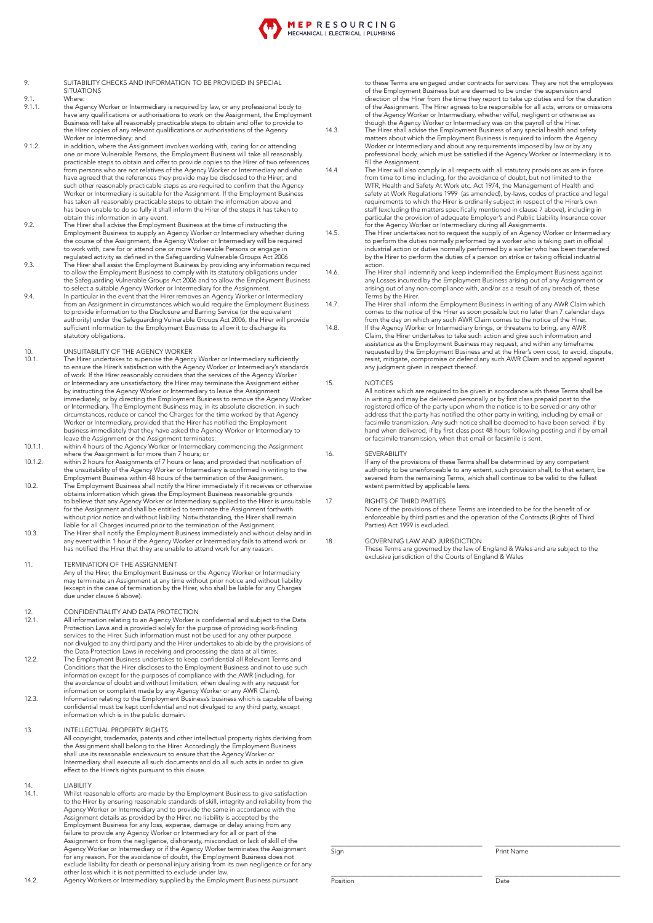- 9. SUITABILITY CHECKS AND INFORMATION TO BE PROVIDED IN SPECIAL **SITUATIONS**
- 9.1. Where:<br>9.1. the Age 9.1.1. the Agency Worker or Intermediary is required by law, or any professional body to have any qualifications or authorisations to work on the Assignment, the Employment Business will take all reasonably practicable steps to obtain and offer to provide to the Hirer copies of any relevant qualifications or authorisations of the Agency<br>Worker or Intermediary; and
- 9.1.2. in addition, where the Assignment involves working with, caring for or attending one or more Vulnerable Persons, the Employment Business will take all reasonably practicable steps to obtain and offer to provide copies to the Hirer of two references from persons who are not relatives of the Agency Worker or Intermediary and who have agreed that the references they provide may be disclosed to the Hirer; and<br>such other reasonably practicable steps as are required to confirm that the Agency<br>Worker or Intermediary is suitable for the Assignment. If t has taken all reasonably practicable steps to obtain the information above and has been unable to do so fully it shall inform the Hirer of the steps it has taken to
- obtain this information in any event. 9.2. The Hirer shall advise the Employment Business at the time of instructing the Employment Business to supply an Agency Worker or Intermediary whether during<br>the course of the Assignment, the Agency Worker or Intermediary will be required<br>to work with, care for or attend one or more Vulnerable Persons regulated activity as defined in the Safeguarding Vulnerable Groups Act 2006
- 9.3. The Hirer shall assist the Employment Business by providing any information required to allow the Employment Business to comply with its statutory obligations under<br>the Safeguarding Vulnerable Groups Act 2006 and to allow the Employment Business
- to select a suitable Agency Worker or Intermediary for the Assignment. 9.4. In particular in the event that the Hirer removes an Agency Worker or Intermediary from an Assignment in circumstances which would require the Employment Business to provide information to the Disclosure and Barring Service (or the equivalent authority) under the Safeguarding Vulnerable Groups Act 2006, the Hirer will provide sufficient information to the Employment Business to allow it to discharge its statutory obligations.

## 10. UNSUITABILITY OF THE AGENCY WORKER<br>10.1 The Hirer undertakes to supervise the Agency

- The Hirer undertakes to supervise the Agency Worker or Intermediary sufficiently to ensure the Hirer's satisfaction with the Agency Worker or Intermediary's standards of work. If the Hirer reasonably considers that the services of the Agency Worker or Intermediary are unsatisfactory, the Hirer may terminate the Assignment either<br>by instructing the Agency Worker or Intermediary to leave the Assignment<br>immediately, or by directing the Employment Business to remove the circumstances, reduce or cancel the Charges for the time worked by that Agency Worker or Intermediary, provided that the Hirer has notified the Employment business immediately that they have asked the Agency Worker or Intermediary to
- leave the Assignment or the Assignment terminates:<br>10.1.1. within 4 hours of the Agency Worker or Intermediary commencing the Assignment<br>where the Assignment is for more than 7 hours; or<br>10.1.2. within 2 hours for Assignme
- the unsuitability of the Agency Worker or Intermediary is confirmed in writing to the Employment Business within 48 hours of the termination of the Assignment.
- 10.2. The Employment Business shall notify the Hirer immediately if it receives or otherwise<br>obtains information which gives the Employment Business reasonable grounds<br>to believe that any Agency Worker or Intermediary supp for the Assignment and shall be entitled to terminate the Assignment forthwith without prior notice and without liability. Notwithstanding, the Hirer shall remain liable for all Charges incurred prior to the termination of the Assignment. 10.3. The Hirer shall notify the Employment Business immediately and without delay and in
- any event within 1 hour if the Agency Worker or Intermediary fails to attend work or has notified the Hirer that they are unable to attend work for any reason.

### 11 **TERMINATION OF THE ASSIGNMENT**

Any of the Hirer, the Employment Business or the Agency Worker or Intermediary may terminate an Assignment at any time without prior notice and without liability (except in the case of termination by the Hirer, who shall be liable for any Charges due under clause 6 above).

## 12. CONFIDENTIALITY AND DATA PROTECTION<br>12.1. All information relating to an Agency Worker is

- 12.1. All information relating to an Agency Worker is confidential and subject to the Data Protection Laws and is provided solely for the purpose of providing work-finding services to the Hirer. Such information must not be used for any other purpose nor divulged to any third party and the Hirer undertakes to abide by the provisions of
- the Data Protection Laws in receiving and processing the data at all times. 12.2. The Employment Business undertakes to keep confidential all Relevant Terms and Conditions that the Hirer discloses to the Employment Business and not to use such information except for the purposes of compliance with the AWR (including, for the avoidance of doubt and without limitation, when dealing with any request for information or complaint made by any Agency Worker or any AWR Claim). 12.3. Information relating to the Employment Business's business which is capable of being
- confidential must be kept confidential and not divulged to any third party, except information which is in the public domain.

### 13. INTELLECTUAL PROPERTY RIGHTS

All copyright, trademarks, patents and other intellectual property rights deriving from the Assignment shall belong to the Hirer. Accordingly the Employment Business shall use its reasonable endeavours to ensure that the Agency Worker or Intermediary shall execute all such documents and do all such acts in order to give effect to the Hirer's rights pursuant to this clause.

14. LIABILITY<br>14.1 M/bilet.res

- 14.1. Whilst reasonable efforts are made by the Employment Business to give satisfaction to the Hirer by ensuring reasonable standards of skill, integrity and reliability from the Agency Worker or Intermediary and to provide the same in accordance with the Assignment details as provided by the Hirer, no liability is accepted by the Employment Business for any loss, expense, damage or delay arising from any failure to provide any Agency Worker or Intermediary for all or part of the<br>Assignment or from the negligence, dishonesty, misconduct or lack of skill of the<br>Agency Worker or Intermediary or if the Agency Worker terminates for any reason. For the avoidance of doubt, the Employment Business does not<br>exclude liability for death or personal injury arising from its own negligence or for any<br>other loss which it is not permitted to exclude under l
- 14.2. Agency Workers or Intermediary supplied by the Employment Business pursuant

to these Terms are engaged under contracts for services. They are not the employees of the Employment Business but are deemed to be under the supervision and direction of the Hirer from the time they report to take up duties and for the duration of the Assignment. The Hirer agrees to be responsible for all acts, errors or omissions of the Agency Worker or Intermediary, whether wilful, negligent or otherwise as though the Agency Worker or Intermediary was on the payroll of the Hirer.

- 14.3. The Hirer shall advise the Employment Business of any special health and safety matters about which the Employment Business is required to inform the Agency Worker or Intermediary and about any requirements imposed by law or by any<br>professional body, which must be satisfied if the Agency Worker or Intermediary is to fill the Assignment.
- 14.4. The Hirer will also comply in all respects with all statutory provisions as are in force from time to time including, for the avoidance of doubt, but not limited to the WTR, Health and Safety At Work etc. Act 1974, the Management of Health and safety at Work Regulations 1999 (as amended), by-laws, codes of practice and legal requirements to which the Hirer is ordinarily subject in respect of the Hirer's own staff (excluding the matters specifically mentioned in clause 7 above), including in particular the provision of adequate Employer's and Public Liability Insurance cover for the Agency Worker or Intermediary during all Assignments.
- 14.5. The Hirer undertakes not to request the supply of an Agency Worker or Intermediary to perform the duties normally performed by a worker who is taking part in official<br>industrial action or duties normally performed by a worker who has been transferrec<br>by the Hirer to perform the duties of a person on stri action.
- 14.6. The Hirer shall indemnify and keep indemnified the Employment Business against any Losses incurred by the Employment Business arising out of any Assignment or arising out of any non-compliance with, and/or as a result of any breach of, these<br>Terms by the Hirer.
- 14.7. The Hirer shall inform the Employment Business in writing of any AWR Claim which comes to the notice of the Hirer as soon possible but no later than 7 calendar days from the day on which any such AWR Claim comes to the notice of the Hirer.
- 14.8. If the Agency Worker or Intermediary brings, or threatens to bring, any AWR Claim, the Hirer undertakes to take such action and give such information and assistance as the Employment Business may request, and within any timeframe<br>requested by the Employment Business and at the Hirer's own cost, to avoid, dispute,<br>resist, mitigate, compromise or defend any such AWR Claim and any judgment given in respect thereof.

### 15. NOTICES

All notices which are required to be given in accordance with these Terms shall be in writing and may be delivered personally or by first class prepaid post to the<br>registered office of the party upon whom the notice is to be served or any other<br>address that the party has notified the other party in writi hand when delivered, if by first class post 48 hours following posting and if by email or facsimile transmission, when that email or facsimile is sent.

#### 16. **SEVERABILITY**

If any of the provisions of these Terms shall be determined by any competent authority to be unenforceable to any extent, such provision shall, to that extent, be severed from the remaining Terms, which shall continue to be valid to the fullest extent permitted by applicable laws.

### 17. RIGHTS OF THIRD PARTIES

None of the provisions of these Terms are intended to be for the benefit of or enforceable by third parties and the operation of the Contracts (Rights of Third Parties) Act 1999 is excluded.

### 18. **GOVERNING LAW AND JURISDICTION**

These Terms are governed by the law of England & Wales and are subject to the exclusive jurisdiction of the Courts of England & Wales

Sign

Position

\_\_\_\_\_\_\_\_\_\_\_\_\_\_\_\_\_\_\_\_\_\_\_\_\_\_\_\_\_\_\_\_\_\_\_\_\_\_

\_\_\_\_\_\_\_\_\_\_\_\_\_\_\_\_\_\_\_\_\_\_\_\_\_\_\_\_\_\_\_\_\_\_\_\_\_\_\_\_\_\_\_\_\_\_ 

\_\_\_\_\_\_\_\_\_\_\_\_\_\_\_\_\_\_\_\_\_\_\_\_\_\_\_\_\_\_\_\_\_\_\_\_\_\_\_\_\_\_\_\_\_\_